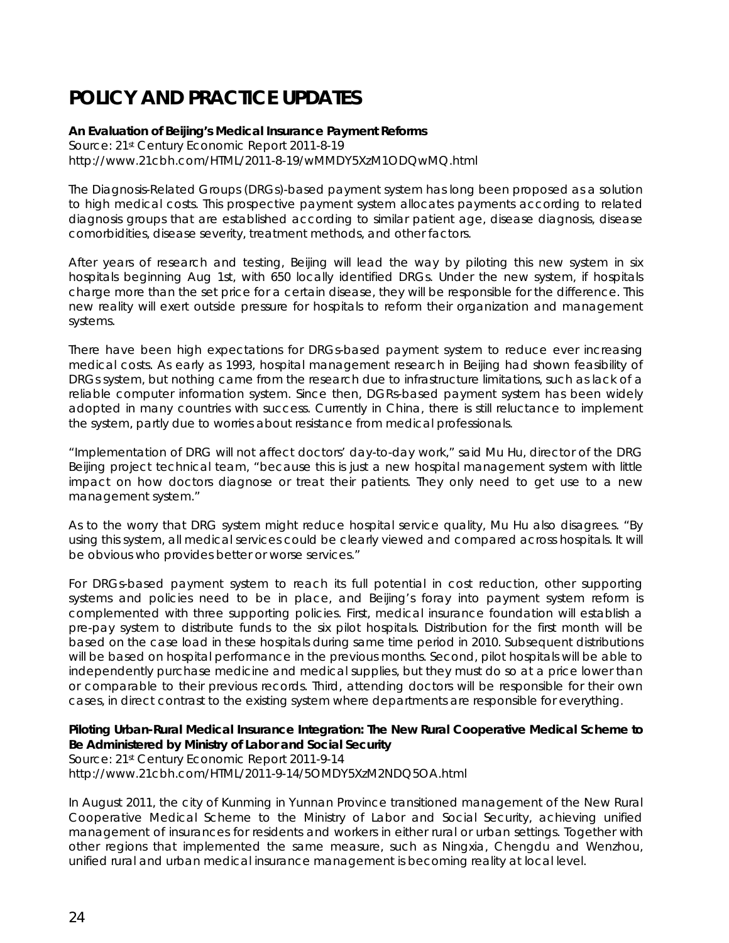# **POLICY AND PRACTICE UPDATES**

## **An Evaluation of Beijing's Medical Insurance Payment Reforms**

Source: 21st Century Economic Report 2011-8-19 http://www.21cbh.com/HTML/2011-8-19/wMMDY5XzM1ODQwMQ.html

The Diagnosis-Related Groups (DRGs)-based payment system has long been proposed as a solution to high medical costs. This prospective payment system allocates payments according to related diagnosis groups that are established according to similar patient age, disease diagnosis, disease comorbidities, disease severity, treatment methods, and other factors.

After years of research and testing, Beijing will lead the way by piloting this new system in six hospitals beginning Aug 1st, with 650 locally identified DRGs. Under the new system, if hospitals charge more than the set price for a certain disease, they will be responsible for the difference. This new reality will exert outside pressure for hospitals to reform their organization and management systems.

There have been high expectations for DRGs-based payment system to reduce ever increasing medical costs. As early as 1993, hospital management research in Beijing had shown feasibility of DRGs system, but nothing came from the research due to infrastructure limitations, such as lack of a reliable computer information system. Since then, DGRs-based payment system has been widely adopted in many countries with success. Currently in China, there is still reluctance to implement the system, partly due to worries about resistance from medical professionals.

"Implementation of DRG will not affect doctors' day-to-day work," said Mu Hu, director of the DRG Beijing project technical team, "because this is just a new hospital management system with little impact on how doctors diagnose or treat their patients. They only need to get use to a new management system."

As to the worry that DRG system might reduce hospital service quality, Mu Hu also disagrees. "By using this system, all medical services could be clearly viewed and compared across hospitals. It will be obvious who provides better or worse services."

For DRGs-based payment system to reach its full potential in cost reduction, other supporting systems and policies need to be in place, and Beijing's foray into payment system reform is complemented with three supporting policies. First, medical insurance foundation will establish a pre-pay system to distribute funds to the six pilot hospitals. Distribution for the first month will be based on the case load in these hospitals during same time period in 2010. Subsequent distributions will be based on hospital performance in the previous months. Second, pilot hospitals will be able to independently purchase medicine and medical supplies, but they must do so at a price lower than or comparable to their previous records. Third, attending doctors will be responsible for their own cases, in direct contrast to the existing system where departments are responsible for everything.

## **Piloting Urban-Rural Medical Insurance Integration: The New Rural Cooperative Medical Scheme to Be Administered by Ministry of Labor and Social Security**

Source: 21st Century Economic Report 2011-9-14 http://www.21cbh.com/HTML/2011-9-14/5OMDY5XzM2NDQ5OA.html

In August 2011, the city of Kunming in Yunnan Province transitioned management of the New Rural Cooperative Medical Scheme to the Ministry of Labor and Social Security, achieving unified management of insurances for residents and workers in either rural or urban settings. Together with other regions that implemented the same measure, such as Ningxia, Chengdu and Wenzhou, unified rural and urban medical insurance management is becoming reality at local level.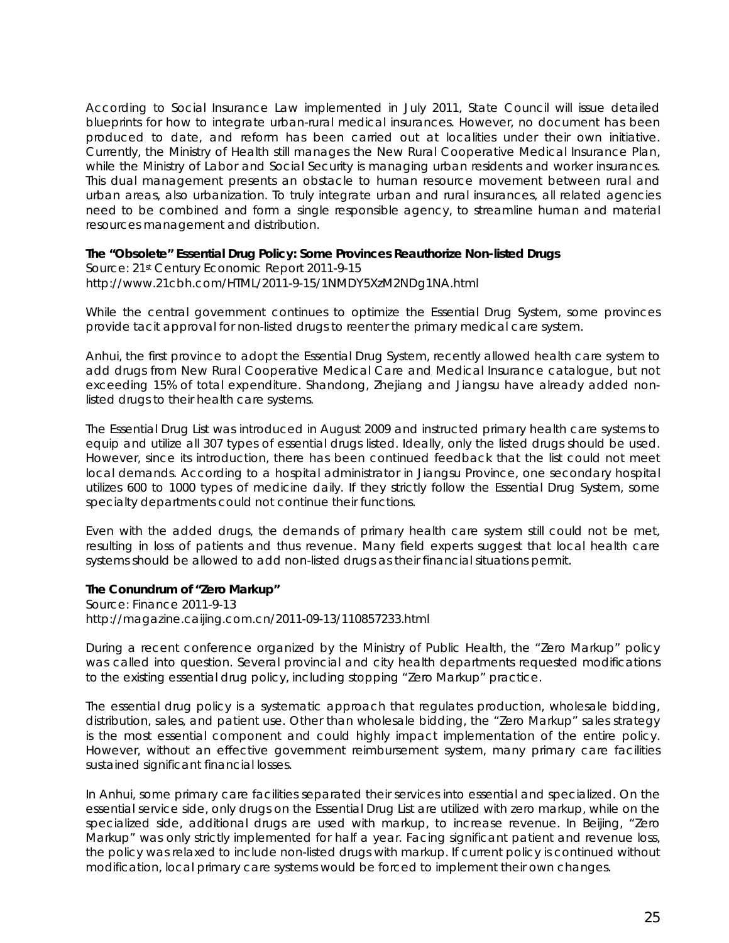According to Social Insurance Law implemented in July 2011, State Council will issue detailed blueprints for how to integrate urban-rural medical insurances. However, no document has been produced to date, and reform has been carried out at localities under their own initiative. Currently, the Ministry of Health still manages the New Rural Cooperative Medical Insurance Plan, while the Ministry of Labor and Social Security is managing urban residents and worker insurances. This dual management presents an obstacle to human resource movement between rural and urban areas, also urbanization. To truly integrate urban and rural insurances, all related agencies need to be combined and form a single responsible agency, to streamline human and material resources management and distribution.

#### **The "Obsolete" Essential Drug Policy: Some Provinces Reauthorize Non-listed Drugs**

Source: 21st Century Economic Report 2011-9-15 http://www.21cbh.com/HTML/2011-9-15/1NMDY5XzM2NDg1NA.html

While the central government continues to optimize the Essential Drug System, some provinces provide tacit approval for non-listed drugs to reenter the primary medical care system.

Anhui, the first province to adopt the Essential Drug System, recently allowed health care system to add drugs from New Rural Cooperative Medical Care and Medical Insurance catalogue, but not exceeding 15% of total expenditure. Shandong, Zhejiang and Jiangsu have already added nonlisted drugs to their health care systems.

The Essential Drug List was introduced in August 2009 and instructed primary health care systems to equip and utilize all 307 types of essential drugs listed. Ideally, only the listed drugs should be used. However, since its introduction, there has been continued feedback that the list could not meet local demands. According to a hospital administrator in Jiangsu Province, one secondary hospital utilizes 600 to 1000 types of medicine daily. If they strictly follow the Essential Drug System, some specialty departments could not continue their functions.

Even with the added drugs, the demands of primary health care system still could not be met, resulting in loss of patients and thus revenue. Many field experts suggest that local health care systems should be allowed to add non-listed drugs as their financial situations permit.

## **The Conundrum of "Zero Markup"**

Source: Finance 2011-9-13 http://magazine.caijing.com.cn/2011-09-13/110857233.html

During a recent conference organized by the Ministry of Public Health, the "Zero Markup" policy was called into question. Several provincial and city health departments requested modifications to the existing essential drug policy, including stopping "Zero Markup" practice.

The essential drug policy is a systematic approach that regulates production, wholesale bidding, distribution, sales, and patient use. Other than wholesale bidding, the "Zero Markup" sales strategy is the most essential component and could highly impact implementation of the entire policy. However, without an effective government reimbursement system, many primary care facilities sustained significant financial losses.

In Anhui, some primary care facilities separated their services into essential and specialized. On the essential service side, only drugs on the Essential Drug List are utilized with zero markup, while on the specialized side, additional drugs are used with markup, to increase revenue. In Beijing, "Zero Markup" was only strictly implemented for half a year. Facing significant patient and revenue loss, the policy was relaxed to include non-listed drugs with markup. If current policy is continued without modification, local primary care systems would be forced to implement their own changes.